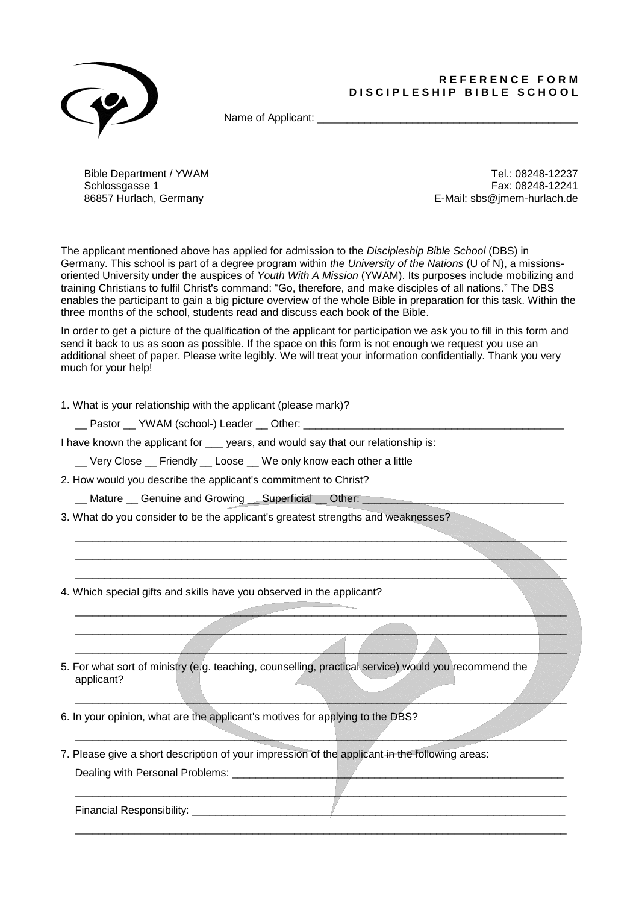## **R E F E R E N C E F O R M DISCIPLESHIP BIBLE SCHOOL**



Name of Applicant:

Bible Department / YWAM Schlossgasse 1 86857 Hurlach, Germany

Tel.: 08248-12237 Fax: 08248-12241 E-Mail: sbs@jmem-hurlach.de

The applicant mentioned above has applied for admission to the *Discipleship Bible School* (DBS) in Germany. This school is part of a degree program within *the University of the Nations* (U of N), a missionsoriented University under the auspices of *Youth With A Mission* (YWAM). Its purposes include mobilizing and training Christians to fulfil Christ's command: "Go, therefore, and make disciples of all nations." The DBS enables the participant to gain a big picture overview of the whole Bible in preparation for this task. Within the three months of the school, students read and discuss each book of the Bible.

In order to get a picture of the qualification of the applicant for participation we ask you to fill in this form and send it back to us as soon as possible. If the space on this form is not enough we request you use an additional sheet of paper. Please write legibly. We will treat your information confidentially. Thank you very much for your help!

\_\_\_\_\_\_\_\_\_\_\_\_\_\_\_\_\_\_\_\_\_\_\_\_\_\_\_\_\_\_\_\_\_\_\_\_\_\_\_\_\_\_\_\_\_\_\_\_\_\_\_\_\_\_\_\_\_\_\_\_\_\_\_\_\_\_\_\_\_\_\_\_\_\_\_\_\_\_\_\_\_\_\_  $\mathcal{L}_\mathcal{A} = \{ \mathcal{L}_\mathcal{A} = \{ \mathcal{L}_\mathcal{A} = \{ \mathcal{L}_\mathcal{A} = \{ \mathcal{L}_\mathcal{A} = \{ \mathcal{L}_\mathcal{A} = \{ \mathcal{L}_\mathcal{A} = \{ \mathcal{L}_\mathcal{A} = \{ \mathcal{L}_\mathcal{A} = \{ \mathcal{L}_\mathcal{A} = \{ \mathcal{L}_\mathcal{A} = \{ \mathcal{L}_\mathcal{A} = \{ \mathcal{L}_\mathcal{A} = \{ \mathcal{L}_\mathcal{A} = \{ \mathcal{L}_\mathcal{$ \_\_\_\_\_\_\_\_\_\_\_\_\_\_\_\_\_\_\_\_\_\_\_\_\_\_\_\_\_\_\_\_\_\_\_\_\_\_\_\_\_\_\_\_\_\_\_\_\_\_\_\_\_\_\_\_\_\_\_\_\_\_\_\_\_\_\_\_\_\_\_\_\_\_\_\_\_\_\_\_\_\_\_

\_\_\_\_\_\_\_\_\_\_\_\_\_\_\_\_\_\_\_\_\_\_\_\_\_\_\_\_\_\_\_\_\_\_\_\_\_\_\_\_\_\_\_\_\_\_\_\_\_\_\_\_\_\_\_\_\_\_\_\_\_\_\_\_\_\_\_\_\_\_\_\_\_\_\_\_\_\_\_\_\_\_\_ \_\_\_\_\_\_\_\_\_\_\_\_\_\_\_\_\_\_\_\_\_\_\_\_\_\_\_\_\_\_\_\_\_\_\_\_\_\_\_\_\_\_\_\_\_\_\_\_\_\_\_\_\_\_\_\_\_\_\_\_\_\_\_\_\_\_\_\_\_\_\_\_\_\_\_\_\_\_\_\_\_\_\_ \_\_\_\_\_\_\_\_\_\_\_\_\_\_\_\_\_\_\_\_\_\_\_\_\_\_\_\_\_\_\_\_\_\_\_\_\_\_\_\_\_\_\_\_\_\_\_\_\_\_\_\_\_\_\_\_\_\_\_\_\_\_\_\_\_\_\_\_\_\_\_\_\_\_\_\_\_\_\_\_\_\_\_

\_\_\_\_\_\_\_\_\_\_\_\_\_\_\_\_\_\_\_\_\_\_\_\_\_\_\_\_\_\_\_\_\_\_\_\_\_\_\_\_\_\_\_\_\_\_\_\_\_\_\_\_\_\_\_\_\_\_\_\_\_\_\_\_\_\_\_\_\_\_\_\_\_\_\_\_\_\_\_\_\_\_\_

\_\_\_\_\_\_\_\_\_\_\_\_\_\_\_\_\_\_\_\_\_\_\_\_\_\_\_\_\_\_\_\_\_\_\_\_\_\_\_\_\_\_\_\_\_\_\_\_\_\_\_\_\_\_\_\_\_\_\_\_\_\_\_\_\_\_\_\_\_\_\_\_\_\_\_\_\_\_\_\_\_\_\_

\_\_\_\_\_\_\_\_\_\_\_\_\_\_\_\_\_\_\_\_\_\_\_\_\_\_\_\_\_\_\_\_\_\_\_\_\_\_\_\_\_\_\_\_\_\_\_\_\_\_\_\_\_\_\_\_\_\_\_\_\_\_\_\_\_\_\_\_\_\_\_\_\_\_\_\_\_\_\_\_\_\_\_

\_\_\_\_\_\_\_\_\_\_\_\_\_\_\_\_\_\_\_\_\_\_\_\_\_\_\_\_\_\_\_\_\_\_\_\_\_\_\_\_\_\_\_\_\_\_\_\_\_\_\_\_\_\_\_\_\_\_\_\_\_\_\_\_\_\_\_\_\_\_\_\_\_\_\_\_\_\_\_\_\_\_\_

1. What is your relationship with the applicant (please mark)?

Pastor YWAM (school-) Leader Other:

I have known the applicant for \_\_\_ years, and would say that our relationship is:

\_\_ Very Close \_\_ Friendly \_\_ Loose \_\_ We only know each other a little

2. How would you describe the applicant's commitment to Christ?

\_\_ Mature \_\_ Genuine and Growing \_\_ Superficial \_\_ Other: \_\_\_\_\_\_\_\_\_\_\_\_\_\_\_\_\_\_\_\_\_\_\_\_\_\_\_\_\_\_\_\_\_\_

3. What do you consider to be the applicant's greatest strengths and weaknesses?

4. Which special gifts and skills have you observed in the applicant?

| 5. For what sort of ministry (e.g. teaching, counselling, practical service) would you recommend the |  |  |
|------------------------------------------------------------------------------------------------------|--|--|
| applicant?                                                                                           |  |  |

6. In your opinion, what are the applicant's motives for applying to the DBS?

7. Please give a short description of your impression of the applicant in the following areas: Dealing with Personal Problems:

Financial Responsibility: \_\_\_\_\_\_\_\_\_\_\_\_\_\_\_\_\_\_\_\_\_\_\_\_\_\_\_\_\_\_\_\_\_\_\_\_\_\_\_\_\_\_\_\_\_\_\_\_\_\_\_\_\_\_\_\_\_\_\_\_\_\_\_